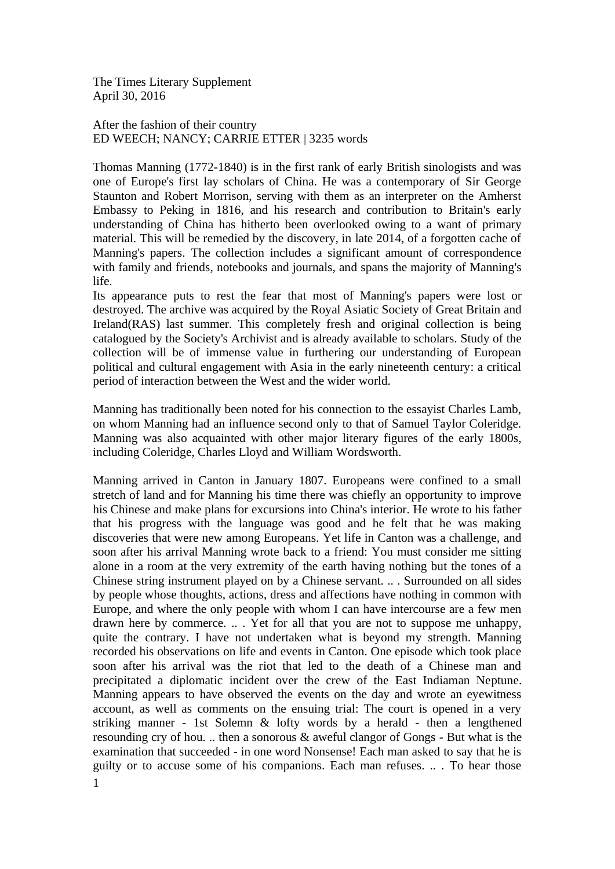The Times Literary Supplement April 30, 2016

After the fashion of their country ED WEECH; NANCY; CARRIE ETTER | 3235 words

Thomas Manning (1772-1840) is in the first rank of early British sinologists and was one of Europe's first lay scholars of China. He was a contemporary of Sir George Staunton and Robert Morrison, serving with them as an interpreter on the Amherst Embassy to Peking in 1816, and his research and contribution to Britain's early understanding of China has hitherto been overlooked owing to a want of primary material. This will be remedied by the discovery, in late 2014, of a forgotten cache of Manning's papers. The collection includes a significant amount of correspondence with family and friends, notebooks and journals, and spans the majority of Manning's life.

Its appearance puts to rest the fear that most of Manning's papers were lost or destroyed. The archive was acquired by the Royal Asiatic Society of Great Britain and Ireland(RAS) last summer. This completely fresh and original collection is being catalogued by the Society's Archivist and is already available to scholars. Study of the collection will be of immense value in furthering our understanding of European political and cultural engagement with Asia in the early nineteenth century: a critical period of interaction between the West and the wider world.

Manning has traditionally been noted for his connection to the essayist Charles Lamb, on whom Manning had an influence second only to that of Samuel Taylor Coleridge. Manning was also acquainted with other major literary figures of the early 1800s, including Coleridge, Charles Lloyd and William Wordsworth.

Manning arrived in Canton in January 1807. Europeans were confined to a small stretch of land and for Manning his time there was chiefly an opportunity to improve his Chinese and make plans for excursions into China's interior. He wrote to his father that his progress with the language was good and he felt that he was making discoveries that were new among Europeans. Yet life in Canton was a challenge, and soon after his arrival Manning wrote back to a friend: You must consider me sitting alone in a room at the very extremity of the earth having nothing but the tones of a Chinese string instrument played on by a Chinese servant. .. . Surrounded on all sides by people whose thoughts, actions, dress and affections have nothing in common with Europe, and where the only people with whom I can have intercourse are a few men drawn here by commerce. .. . Yet for all that you are not to suppose me unhappy, quite the contrary. I have not undertaken what is beyond my strength. Manning recorded his observations on life and events in Canton. One episode which took place soon after his arrival was the riot that led to the death of a Chinese man and precipitated a diplomatic incident over the crew of the East Indiaman Neptune. Manning appears to have observed the events on the day and wrote an eyewitness account, as well as comments on the ensuing trial: The court is opened in a very striking manner - 1st Solemn & lofty words by a herald - then a lengthened resounding cry of hou. .. then a sonorous & aweful clangor of Gongs - But what is the examination that succeeded - in one word Nonsense! Each man asked to say that he is guilty or to accuse some of his companions. Each man refuses. .. . To hear those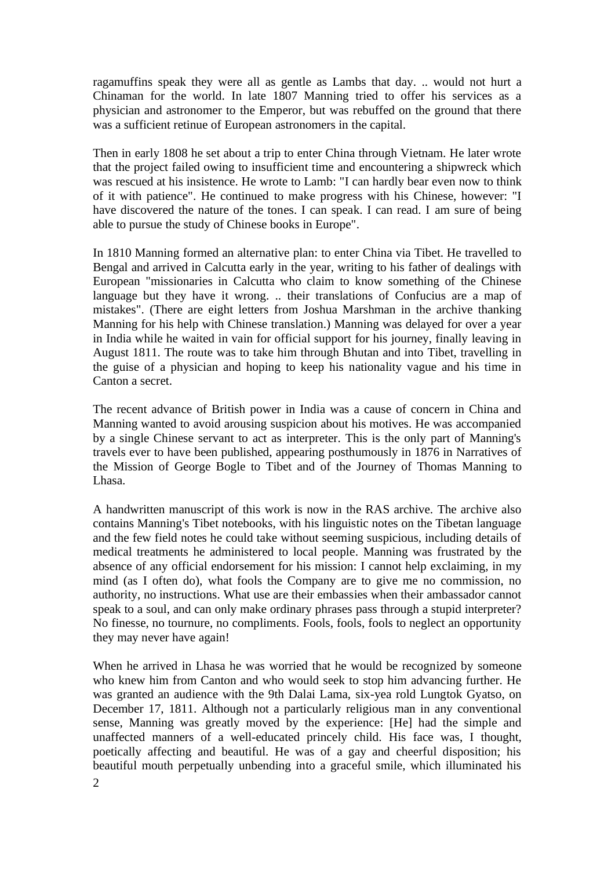ragamuffins speak they were all as gentle as Lambs that day. .. would not hurt a Chinaman for the world. In late 1807 Manning tried to offer his services as a physician and astronomer to the Emperor, but was rebuffed on the ground that there was a sufficient retinue of European astronomers in the capital.

Then in early 1808 he set about a trip to enter China through Vietnam. He later wrote that the project failed owing to insufficient time and encountering a shipwreck which was rescued at his insistence. He wrote to Lamb: "I can hardly bear even now to think of it with patience". He continued to make progress with his Chinese, however: "I have discovered the nature of the tones. I can speak. I can read. I am sure of being able to pursue the study of Chinese books in Europe".

In 1810 Manning formed an alternative plan: to enter China via Tibet. He travelled to Bengal and arrived in Calcutta early in the year, writing to his father of dealings with European "missionaries in Calcutta who claim to know something of the Chinese language but they have it wrong. .. their translations of Confucius are a map of mistakes". (There are eight letters from Joshua Marshman in the archive thanking Manning for his help with Chinese translation.) Manning was delayed for over a year in India while he waited in vain for official support for his journey, finally leaving in August 1811. The route was to take him through Bhutan and into Tibet, travelling in the guise of a physician and hoping to keep his nationality vague and his time in Canton a secret.

The recent advance of British power in India was a cause of concern in China and Manning wanted to avoid arousing suspicion about his motives. He was accompanied by a single Chinese servant to act as interpreter. This is the only part of Manning's travels ever to have been published, appearing posthumously in 1876 in Narratives of the Mission of George Bogle to Tibet and of the Journey of Thomas Manning to Lhasa.

A handwritten manuscript of this work is now in the RAS archive. The archive also contains Manning's Tibet notebooks, with his linguistic notes on the Tibetan language and the few field notes he could take without seeming suspicious, including details of medical treatments he administered to local people. Manning was frustrated by the absence of any official endorsement for his mission: I cannot help exclaiming, in my mind (as I often do), what fools the Company are to give me no commission, no authority, no instructions. What use are their embassies when their ambassador cannot speak to a soul, and can only make ordinary phrases pass through a stupid interpreter? No finesse, no tournure, no compliments. Fools, fools, fools to neglect an opportunity they may never have again!

When he arrived in Lhasa he was worried that he would be recognized by someone who knew him from Canton and who would seek to stop him advancing further. He was granted an audience with the 9th Dalai Lama, six-yea rold Lungtok Gyatso, on December 17, 1811. Although not a particularly religious man in any conventional sense, Manning was greatly moved by the experience: [He] had the simple and unaffected manners of a well-educated princely child. His face was, I thought, poetically affecting and beautiful. He was of a gay and cheerful disposition; his beautiful mouth perpetually unbending into a graceful smile, which illuminated his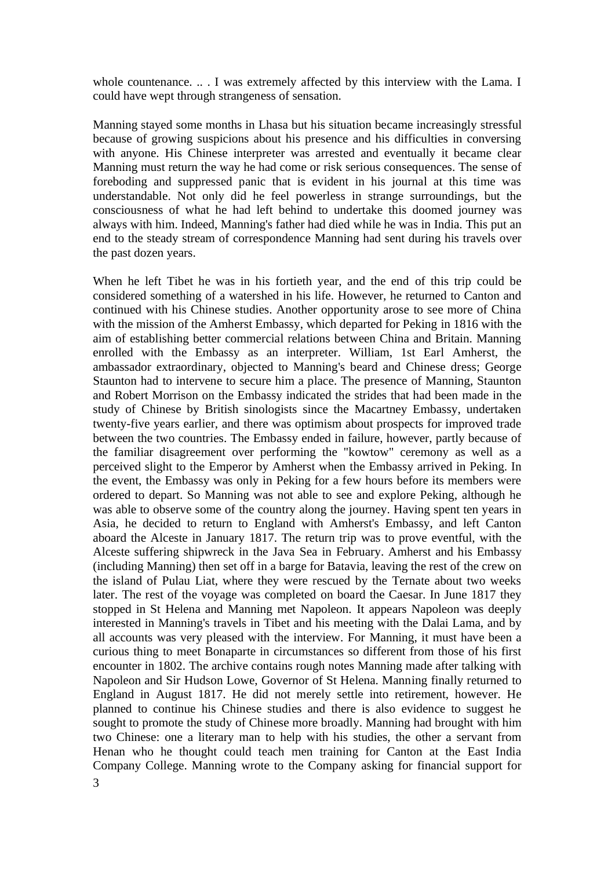whole countenance. .. . I was extremely affected by this interview with the Lama. I could have wept through strangeness of sensation.

Manning stayed some months in Lhasa but his situation became increasingly stressful because of growing suspicions about his presence and his difficulties in conversing with anyone. His Chinese interpreter was arrested and eventually it became clear Manning must return the way he had come or risk serious consequences. The sense of foreboding and suppressed panic that is evident in his journal at this time was understandable. Not only did he feel powerless in strange surroundings, but the consciousness of what he had left behind to undertake this doomed journey was always with him. Indeed, Manning's father had died while he was in India. This put an end to the steady stream of correspondence Manning had sent during his travels over the past dozen years.

When he left Tibet he was in his fortieth year, and the end of this trip could be considered something of a watershed in his life. However, he returned to Canton and continued with his Chinese studies. Another opportunity arose to see more of China with the mission of the Amherst Embassy, which departed for Peking in 1816 with the aim of establishing better commercial relations between China and Britain. Manning enrolled with the Embassy as an interpreter. William, 1st Earl Amherst, the ambassador extraordinary, objected to Manning's beard and Chinese dress; George Staunton had to intervene to secure him a place. The presence of Manning, Staunton and Robert Morrison on the Embassy indicated the strides that had been made in the study of Chinese by British sinologists since the Macartney Embassy, undertaken twenty-five years earlier, and there was optimism about prospects for improved trade between the two countries. The Embassy ended in failure, however, partly because of the familiar disagreement over performing the "kowtow" ceremony as well as a perceived slight to the Emperor by Amherst when the Embassy arrived in Peking. In the event, the Embassy was only in Peking for a few hours before its members were ordered to depart. So Manning was not able to see and explore Peking, although he was able to observe some of the country along the journey. Having spent ten years in Asia, he decided to return to England with Amherst's Embassy, and left Canton aboard the Alceste in January 1817. The return trip was to prove eventful, with the Alceste suffering shipwreck in the Java Sea in February. Amherst and his Embassy (including Manning) then set off in a barge for Batavia, leaving the rest of the crew on the island of Pulau Liat, where they were rescued by the Ternate about two weeks later. The rest of the voyage was completed on board the Caesar. In June 1817 they stopped in St Helena and Manning met Napoleon. It appears Napoleon was deeply interested in Manning's travels in Tibet and his meeting with the Dalai Lama, and by all accounts was very pleased with the interview. For Manning, it must have been a curious thing to meet Bonaparte in circumstances so different from those of his first encounter in 1802. The archive contains rough notes Manning made after talking with Napoleon and Sir Hudson Lowe, Governor of St Helena. Manning finally returned to England in August 1817. He did not merely settle into retirement, however. He planned to continue his Chinese studies and there is also evidence to suggest he sought to promote the study of Chinese more broadly. Manning had brought with him two Chinese: one a literary man to help with his studies, the other a servant from Henan who he thought could teach men training for Canton at the East India Company College. Manning wrote to the Company asking for financial support for